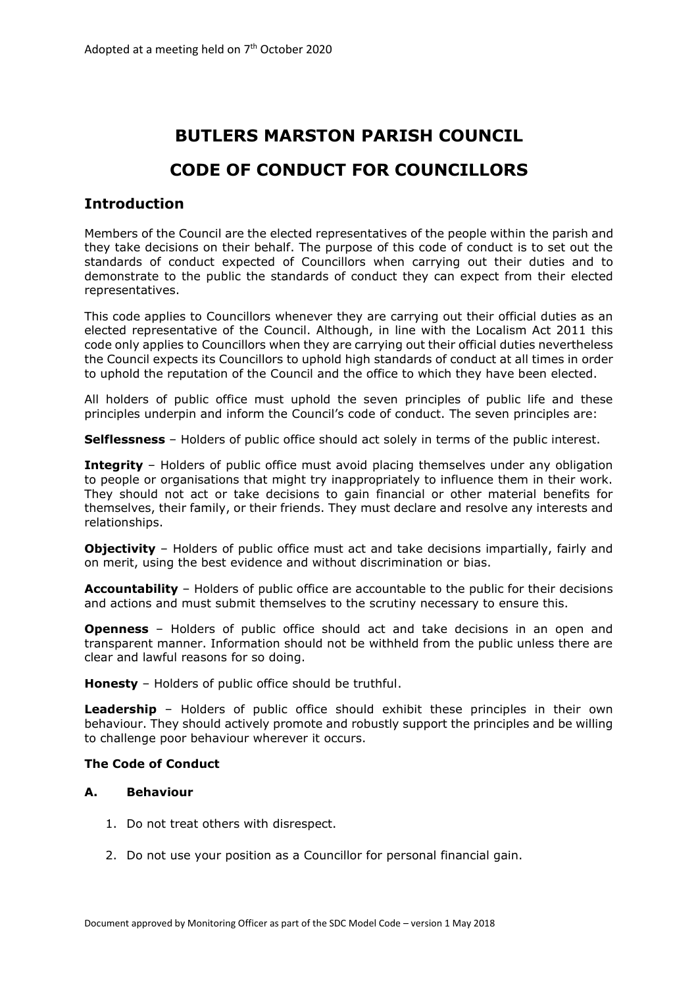# **BUTLERS MARSTON PARISH COUNCIL**

# **CODE OF CONDUCT FOR COUNCILLORS**

### **Introduction**

Members of the Council are the elected representatives of the people within the parish and they take decisions on their behalf. The purpose of this code of conduct is to set out the standards of conduct expected of Councillors when carrying out their duties and to demonstrate to the public the standards of conduct they can expect from their elected representatives.

This code applies to Councillors whenever they are carrying out their official duties as an elected representative of the Council. Although, in line with the Localism Act 2011 this code only applies to Councillors when they are carrying out their official duties nevertheless the Council expects its Councillors to uphold high standards of conduct at all times in order to uphold the reputation of the Council and the office to which they have been elected.

All holders of public office must uphold the seven principles of public life and these principles underpin and inform the Council's code of conduct. The seven principles are:

**Selflessness** – Holders of public office should act solely in terms of the public interest.

**Integrity** – Holders of public office must avoid placing themselves under any obligation to people or organisations that might try inappropriately to influence them in their work. They should not act or take decisions to gain financial or other material benefits for themselves, their family, or their friends. They must declare and resolve any interests and relationships.

**Objectivity** – Holders of public office must act and take decisions impartially, fairly and on merit, using the best evidence and without discrimination or bias.

**Accountability** – Holders of public office are accountable to the public for their decisions and actions and must submit themselves to the scrutiny necessary to ensure this.

**Openness** – Holders of public office should act and take decisions in an open and transparent manner. Information should not be withheld from the public unless there are clear and lawful reasons for so doing.

**Honesty** – Holders of public office should be truthful.

**Leadership** – Holders of public office should exhibit these principles in their own behaviour. They should actively promote and robustly support the principles and be willing to challenge poor behaviour wherever it occurs.

#### **The Code of Conduct**

#### **A. Behaviour**

- 1. Do not treat others with disrespect.
- 2. Do not use your position as a Councillor for personal financial gain.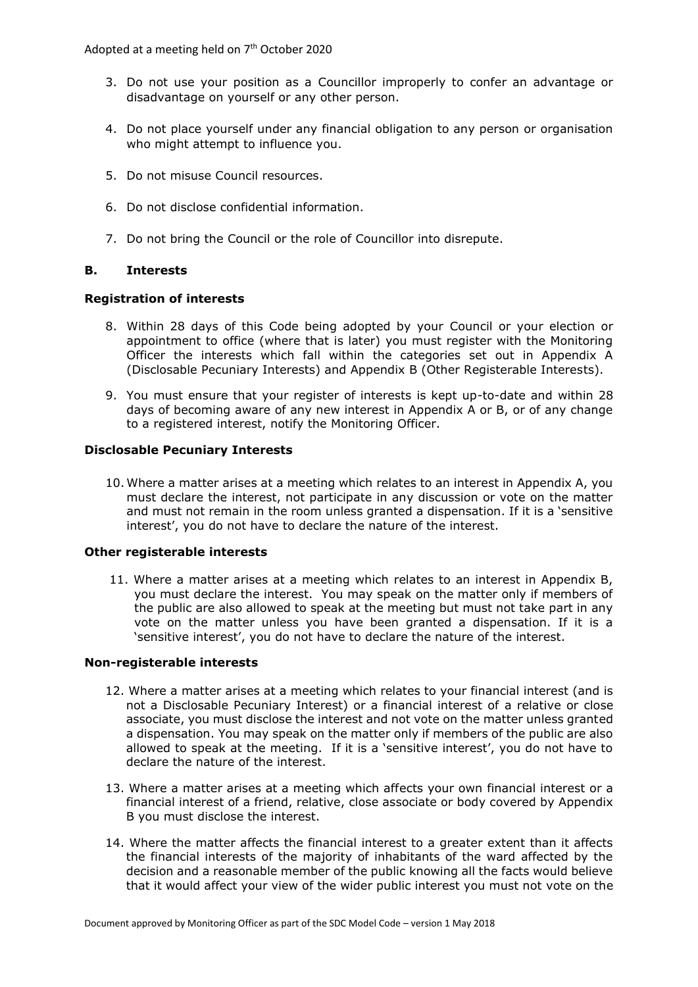- 3. Do not use your position as a Councillor improperly to confer an advantage or disadvantage on yourself or any other person.
- 4. Do not place yourself under any financial obligation to any person or organisation who might attempt to influence you.
- 5. Do not misuse Council resources.
- 6. Do not disclose confidential information.
- 7. Do not bring the Council or the role of Councillor into disrepute.

#### **B. Interests**

#### **Registration of interests**

- 8. Within 28 days of this Code being adopted by your Council or your election or appointment to office (where that is later) you must register with the Monitoring Officer the interests which fall within the categories set out in Appendix A (Disclosable Pecuniary Interests) and Appendix B (Other Registerable Interests).
- 9. You must ensure that your register of interests is kept up-to-date and within 28 days of becoming aware of any new interest in Appendix A or B, or of any change to a registered interest, notify the Monitoring Officer.

#### **Disclosable Pecuniary Interests**

10. Where a matter arises at a meeting which relates to an interest in Appendix A, you must declare the interest, not participate in any discussion or vote on the matter and must not remain in the room unless granted a dispensation. If it is a 'sensitive interest', you do not have to declare the nature of the interest.

#### **Other registerable interests**

11. Where a matter arises at a meeting which relates to an interest in Appendix B, you must declare the interest. You may speak on the matter only if members of the public are also allowed to speak at the meeting but must not take part in any vote on the matter unless you have been granted a dispensation. If it is a 'sensitive interest', you do not have to declare the nature of the interest.

#### **Non-registerable interests**

- 12. Where a matter arises at a meeting which relates to your financial interest (and is not a Disclosable Pecuniary Interest) or a financial interest of a relative or close associate, you must disclose the interest and not vote on the matter unless granted a dispensation. You may speak on the matter only if members of the public are also allowed to speak at the meeting. If it is a 'sensitive interest', you do not have to declare the nature of the interest.
- 13. Where a matter arises at a meeting which affects your own financial interest or a financial interest of a friend, relative, close associate or body covered by Appendix B you must disclose the interest.
- 14. Where the matter affects the financial interest to a greater extent than it affects the financial interests of the majority of inhabitants of the ward affected by the decision and a reasonable member of the public knowing all the facts would believe that it would affect your view of the wider public interest you must not vote on the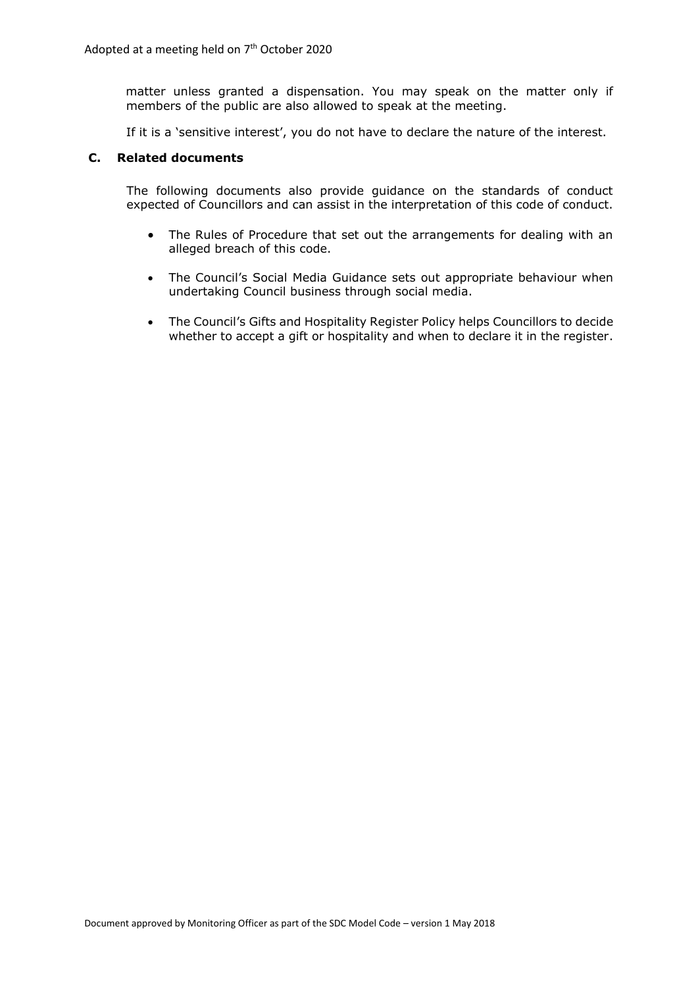matter unless granted a dispensation. You may speak on the matter only if members of the public are also allowed to speak at the meeting.

If it is a 'sensitive interest', you do not have to declare the nature of the interest.

#### **C. Related documents**

The following documents also provide guidance on the standards of conduct expected of Councillors and can assist in the interpretation of this code of conduct.

- The Rules of Procedure that set out the arrangements for dealing with an alleged breach of this code.
- The Council's Social Media Guidance sets out appropriate behaviour when undertaking Council business through social media.
- The Council's Gifts and Hospitality Register Policy helps Councillors to decide whether to accept a gift or hospitality and when to declare it in the register.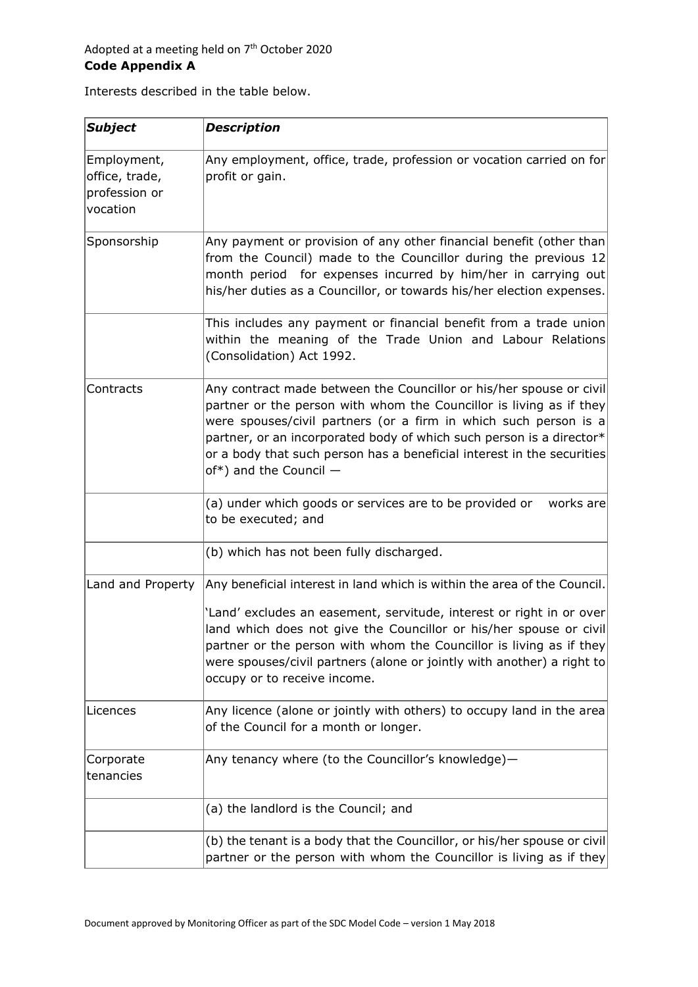Interests described in the table below.

| Subject                                                    | <b>Description</b>                                                                                                                                                                                                                                                                                                                                                                           |
|------------------------------------------------------------|----------------------------------------------------------------------------------------------------------------------------------------------------------------------------------------------------------------------------------------------------------------------------------------------------------------------------------------------------------------------------------------------|
| Employment,<br>office, trade,<br>profession or<br>vocation | Any employment, office, trade, profession or vocation carried on for<br>profit or gain.                                                                                                                                                                                                                                                                                                      |
| Sponsorship                                                | Any payment or provision of any other financial benefit (other than<br>from the Council) made to the Councillor during the previous 12<br>month period for expenses incurred by him/her in carrying out<br>his/her duties as a Councillor, or towards his/her election expenses.                                                                                                             |
|                                                            | This includes any payment or financial benefit from a trade union <br>within the meaning of the Trade Union and Labour Relations<br>(Consolidation) Act 1992.                                                                                                                                                                                                                                |
| Contracts                                                  | Any contract made between the Councillor or his/her spouse or civil<br>partner or the person with whom the Councillor is living as if they<br>were spouses/civil partners (or a firm in which such person is a<br>partner, or an incorporated body of which such person is a director*<br>or a body that such person has a beneficial interest in the securities<br>of*) and the Council $-$ |
|                                                            | (a) under which goods or services are to be provided or<br>works are<br>to be executed; and                                                                                                                                                                                                                                                                                                  |
|                                                            | (b) which has not been fully discharged.                                                                                                                                                                                                                                                                                                                                                     |
| Land and Property                                          | Any beneficial interest in land which is within the area of the Council.                                                                                                                                                                                                                                                                                                                     |
|                                                            | 'Land' excludes an easement, servitude, interest or right in or over<br>land which does not give the Councillor or his/her spouse or civil<br>partner or the person with whom the Councillor is living as if they<br>were spouses/civil partners (alone or jointly with another) a right to<br>occupy or to receive income.                                                                  |
| Licences                                                   | Any licence (alone or jointly with others) to occupy land in the area<br>of the Council for a month or longer.                                                                                                                                                                                                                                                                               |
| Corporate<br>tenancies                                     | Any tenancy where (to the Councillor's knowledge)-                                                                                                                                                                                                                                                                                                                                           |
|                                                            | (a) the landlord is the Council; and                                                                                                                                                                                                                                                                                                                                                         |
|                                                            | (b) the tenant is a body that the Councillor, or his/her spouse or civil<br>partner or the person with whom the Councillor is living as if they                                                                                                                                                                                                                                              |